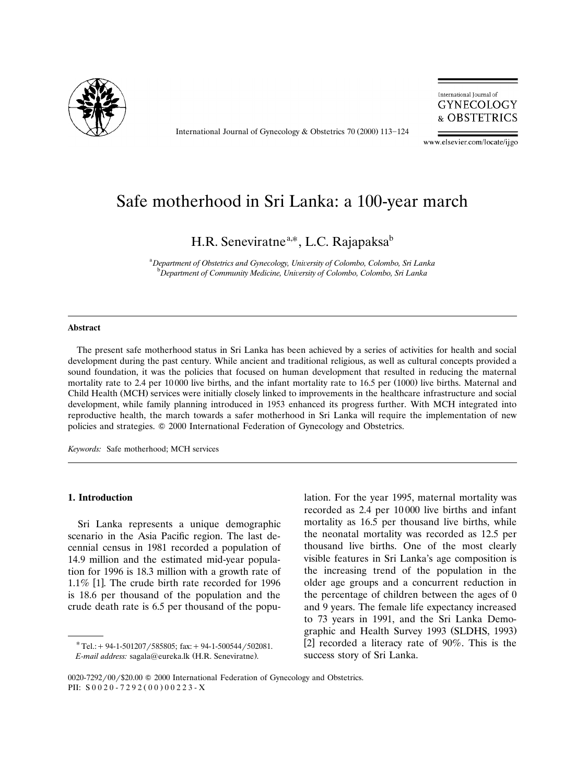

International Journal of Gynecology & Obstetrics 70 (2000) 113-124



www.elsevier.com/locate/ijgo

# Safe motherhood in Sri Lanka: a 100-year march

H.R. Seneviratne<sup>a,\*</sup>, L.C. Rajapaksa<sup>b</sup>

<sup>a</sup> Department of Obstetrics and Gynecology, University of Colombo, Colombo, Sri Lanka<br>**b** Department of Community Medisine, University of Colombo, Colombo, Sri Lanka <sup>b</sup> Department of Community Medicine, University of Colombo, Colombo, Sri Lanka

#### **Abstract**

The present safe motherhood status in Sri Lanka has been achieved by a series of activities for health and social development during the past century. While ancient and traditional religious, as well as cultural concepts provided a sound foundation, it was the policies that focused on human development that resulted in reducing the maternal mortality rate to 2.4 per  $10\,000$  live births, and the infant mortality rate to 16.5 per (1000) live births. Maternal and Child Health (MCH) services were initially closely linked to improvements in the healthcare infrastructure and social development, while family planning introduced in 1953 enhanced its progress further. With MCH integrated into reproductive health, the march towards a safer motherhood in Sri Lanka will require the implementation of new policies and strategies. Q 2000 International Federation of Gynecology and Obstetrics.

*Keywords:* Safe motherhood; MCH services

# **1. Introduction**

Sri Lanka represents a unique demographic scenario in the Asia Pacific region. The last decennial census in 1981 recorded a population of 14.9 million and the estimated mid-year population for 1996 is 18.3 million with a growth rate of  $1.1\%$  [1]. The crude birth rate recorded for 1996 is 18.6 per thousand of the population and the crude death rate is 6.5 per thousand of the population. For the year 1995, maternal mortality was recorded as 2.4 per 10 000 live births and infant mortality as 16.5 per thousand live births, while the neonatal mortality was recorded as 12.5 per thousand live births. One of the most clearly visible features in Sri Lanka's age composition is the increasing trend of the population in the older age groups and a concurrent reduction in the percentage of children between the ages of 0 and 9 years. The female life expectancy increased to 73 years in 1991, and the Sri Lanka Demographic and Health Survey 1993 (SLDHS, 1993) [2] recorded a literacy rate of  $90\%$ . This is the success story of Sri Lanka.

 $*$ Tel.: + 94-1-501207/585805; fax: + 94-1-500544/502081. *E-mail address:* sagala@eureka.lk (H.R. Seneviratne).

<sup>0020-7292/00/\$20.00 © 2000</sup> International Federation of Gynecology and Obstetrics. PII:  $S 0 0 2 0 - 7 2 9 2 (0 0) 0 0 2 2 3 - X$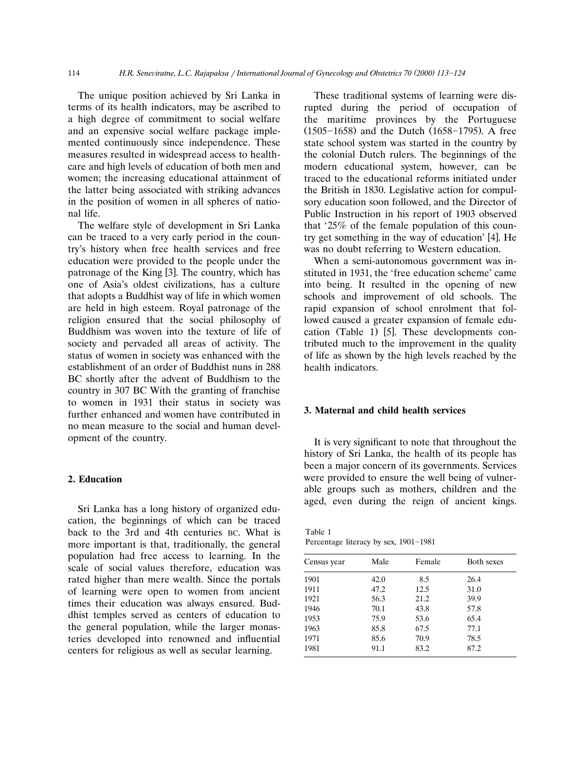114 *H.R. Seneviratne, L.C. Rajapaksa / International Journal of Gynecology and Obstetrics 70 (2000) 113-124* 

The unique position achieved by Sri Lanka in terms of its health indicators, may be ascribed to a high degree of commitment to social welfare and an expensive social welfare package implemented continuously since independence. These measures resulted in widespread access to healthcare and high levels of education of both men and women; the increasing educational attainment of the latter being associated with striking advances in the position of women in all spheres of national life.

The welfare style of development in Sri Lanka can be traced to a very early period in the country's history when free health services and free education were provided to the people under the patronage of the King [3]. The country, which has one of Asia's oldest civilizations, has a culture that adopts a Buddhist way of life in which women are held in high esteem. Royal patronage of the religion ensured that the social philosophy of Buddhism was woven into the texture of life of society and pervaded all areas of activity. The status of women in society was enhanced with the establishment of an order of Buddhist nuns in 288 BC shortly after the advent of Buddhism to the country in 307 BC With the granting of franchise to women in 1931 their status in society was further enhanced and women have contributed in no mean measure to the social and human development of the country.

# **2. Education**

Sri Lanka has a long history of organized education, the beginnings of which can be traced back to the 3rd and 4th centuries BC. What is more important is that, traditionally, the general population had free access to learning. In the scale of social values therefore, education was rated higher than mere wealth. Since the portals of learning were open to women from ancient times their education was always ensured. Buddhist temples served as centers of education to the general population, while the larger monasteries developed into renowned and influential centers for religious as well as secular learning.

These traditional systems of learning were disrupted during the period of occupation of the maritime provinces by the Portuguese  $(1505-1658)$  and the Dutch  $(1658-1795)$ . A free state school system was started in the country by the colonial Dutch rulers. The beginnings of the modern educational system, however, can be traced to the educational reforms initiated under the British in 1830. Legislative action for compulsory education soon followed, and the Director of Public Instruction in his report of 1903 observed that '25% of the female population of this country get something in the way of education' [4]. He was no doubt referring to Western education.

When a semi-autonomous government was instituted in 1931, the 'free education scheme' came into being. It resulted in the opening of new schools and improvement of old schools. The rapid expansion of school enrolment that followed caused a greater expansion of female education (Table 1)  $[5]$ . These developments contributed much to the improvement in the quality of life as shown by the high levels reached by the health indicators.

# **3. Maternal and child health services**

It is very significant to note that throughout the history of Sri Lanka, the health of its people has been a major concern of its governments. Services were provided to ensure the well being of vulnerable groups such as mothers, children and the aged, even during the reign of ancient kings.

Table 1 Percentage literacy by sex,  $1901-1981$ 

| Census year | Male | Female | <b>Both sexes</b> |  |
|-------------|------|--------|-------------------|--|
| 1901        | 42.0 | 8.5    | 26.4              |  |
| 1911        | 47.2 | 12.5   | 31.0              |  |
| 1921        | 56.3 | 21.2   | 39.9              |  |
| 1946        | 70.1 | 43.8   | 57.8              |  |
| 1953        | 75.9 | 53.6   | 65.4              |  |
| 1963        | 85.8 | 67.5   | 77.1              |  |
| 1971        | 85.6 | 70.9   | 78.5              |  |
| 1981        | 91.1 | 83.2   | 87.2              |  |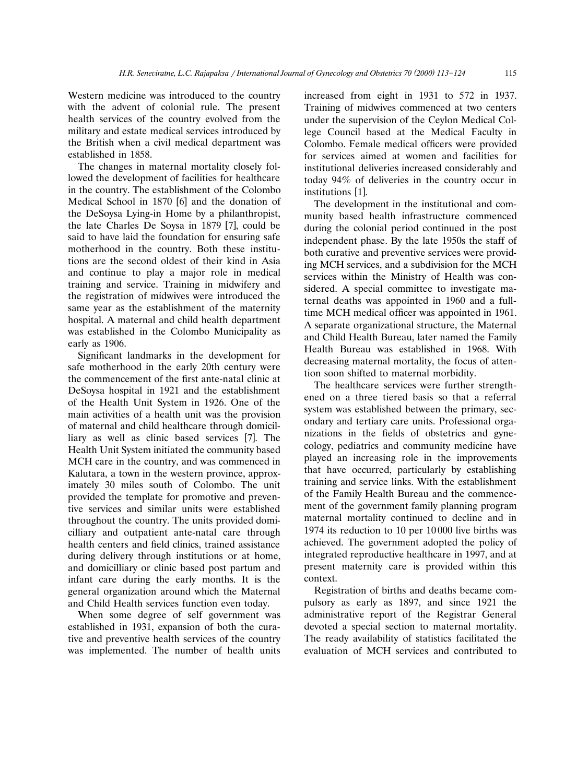Western medicine was introduced to the country with the advent of colonial rule. The present health services of the country evolved from the military and estate medical services introduced by the British when a civil medical department was established in 1858.

The changes in maternal mortality closely followed the development of facilities for healthcare in the country. The establishment of the Colombo Medical School in  $1870$  [6] and the donation of the DeSoysa Lying-in Home by a philanthropist, the late Charles De Soysa in 1879 [7], could be said to have laid the foundation for ensuring safe motherhood in the country. Both these institutions are the second oldest of their kind in Asia and continue to play a major role in medical training and service. Training in midwifery and the registration of midwives were introduced the same year as the establishment of the maternity hospital. A maternal and child health department was established in the Colombo Municipality as early as 1906.

Significant landmarks in the development for safe motherhood in the early 20th century were the commencement of the first ante-natal clinic at DeSoysa hospital in 1921 and the establishment of the Health Unit System in 1926. One of the main activities of a health unit was the provision of maternal and child healthcare through domicilliary as well as clinic based services [7]. The Health Unit System initiated the community based MCH care in the country, and was commenced in Kalutara, a town in the western province, approximately 30 miles south of Colombo. The unit provided the template for promotive and preventive services and similar units were established throughout the country. The units provided domicilliary and outpatient ante-natal care through health centers and field clinics, trained assistance during delivery through institutions or at home, and domicilliary or clinic based post partum and infant care during the early months. It is the general organization around which the Maternal and Child Health services function even today.

When some degree of self government was established in 1931, expansion of both the curative and preventive health services of the country was implemented. The number of health units

increased from eight in 1931 to 572 in 1937. Training of midwives commenced at two centers under the supervision of the Ceylon Medical College Council based at the Medical Faculty in Colombo. Female medical officers were provided for services aimed at women and facilities for institutional deliveries increased considerably and today 94% of deliveries in the country occur in institutions [1].

The development in the institutional and community based health infrastructure commenced during the colonial period continued in the post independent phase. By the late 1950s the staff of both curative and preventive services were providing MCH services, and a subdivision for the MCH services within the Ministry of Health was considered. A special committee to investigate maternal deaths was appointed in 1960 and a fulltime MCH medical officer was appointed in 1961. A separate organizational structure, the Maternal and Child Health Bureau, later named the Family Health Bureau was established in 1968. With decreasing maternal mortality, the focus of attention soon shifted to maternal morbidity.

The healthcare services were further strengthened on a three tiered basis so that a referral system was established between the primary, secondary and tertiary care units. Professional organizations in the fields of obstetrics and gynecology, pediatrics and community medicine have played an increasing role in the improvements that have occurred, particularly by establishing training and service links. With the establishment of the Family Health Bureau and the commencement of the government family planning program maternal mortality continued to decline and in 1974 its reduction to 10 per 10 000 live births was achieved. The government adopted the policy of integrated reproductive healthcare in 1997, and at present maternity care is provided within this context.

Registration of births and deaths became compulsory as early as 1897, and since 1921 the administrative report of the Registrar General devoted a special section to maternal mortality. The ready availability of statistics facilitated the evaluation of MCH services and contributed to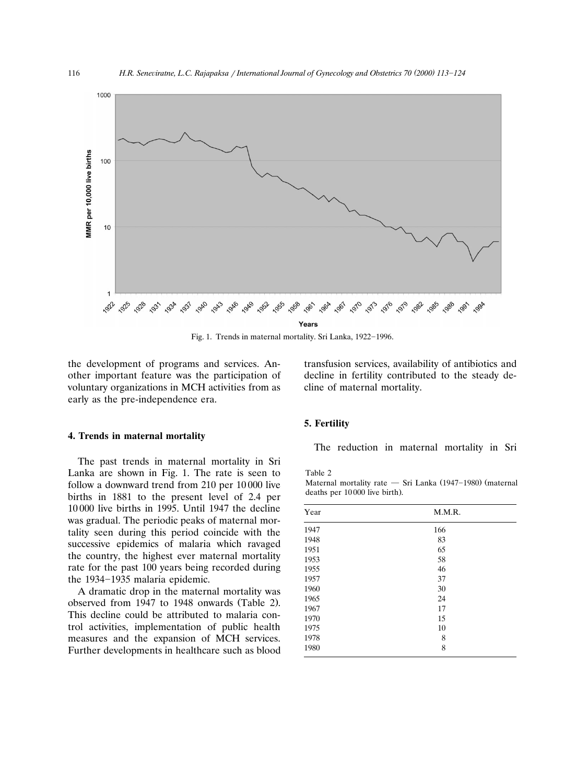

Fig. 1. Trends in maternal mortality. Sri Lanka, 1922-1996.

the development of programs and services. Another important feature was the participation of voluntary organizations in MCH activities from as early as the pre-independence era.

transfusion services, availability of antibiotics and decline in fertility contributed to the steady decline of maternal mortality.

#### **4. Trends in maternal mortality**

The past trends in maternal mortality in Sri Lanka are shown in Fig. 1. The rate is seen to follow a downward trend from 210 per 10 000 live births in 1881 to the present level of 2.4 per 10 000 live births in 1995. Until 1947 the decline was gradual. The periodic peaks of maternal mortality seen during this period coincide with the successive epidemics of malaria which ravaged the country, the highest ever maternal mortality rate for the past 100 years being recorded during the 1934-1935 malaria epidemic.

A dramatic drop in the maternal mortality was observed from  $1947$  to  $1948$  onwards (Table 2). This decline could be attributed to malaria control activities, implementation of public health measures and the expansion of MCH services. Further developments in healthcare such as blood

# **5. Fertility**

The reduction in maternal mortality in Sri

Table 2

Maternal mortality rate  $-$  Sri Lanka (1947-1980) (maternal deaths per 10000 live birth).

| Year | M.M.R. |  |  |
|------|--------|--|--|
| 1947 | 166    |  |  |
| 1948 | 83     |  |  |
| 1951 | 65     |  |  |
| 1953 | 58     |  |  |
| 1955 | 46     |  |  |
| 1957 | 37     |  |  |
| 1960 | 30     |  |  |
| 1965 | 24     |  |  |
| 1967 | 17     |  |  |
| 1970 | 15     |  |  |
| 1975 | 10     |  |  |
| 1978 | 8      |  |  |
| 1980 | 8      |  |  |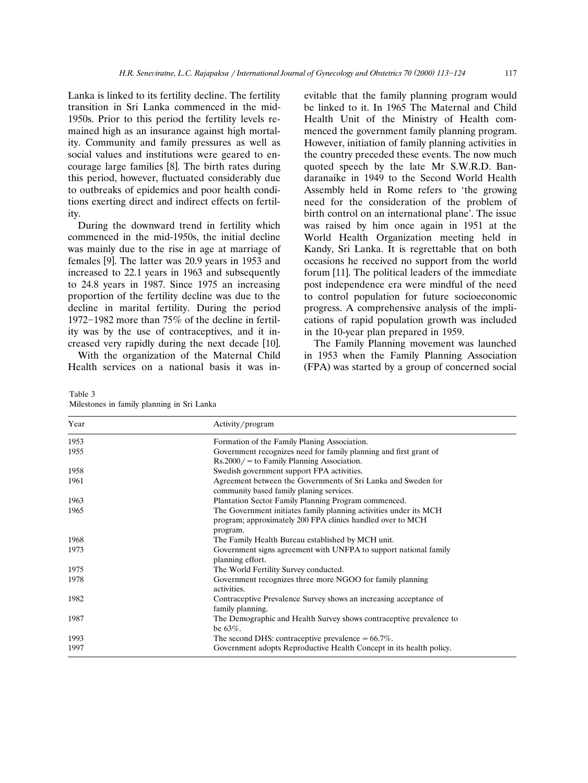Lanka is linked to its fertility decline. The fertility transition in Sri Lanka commenced in the mid-1950s. Prior to this period the fertility levels remained high as an insurance against high mortality. Community and family pressures as well as social values and institutions were geared to encourage large families [8]. The birth rates during this period, however, fluctuated considerably due to outbreaks of epidemics and poor health conditions exerting direct and indirect effects on fertility.

During the downward trend in fertility which commenced in the mid-1950s, the initial decline was mainly due to the rise in age at marriage of females [9]. The latter was  $20.9$  years in 1953 and increased to 22.1 years in 1963 and subsequently to 24.8 years in 1987. Since 1975 an increasing proportion of the fertility decline was due to the decline in marital fertility. During the period 1972–1982 more than 75% of the decline in fertility was by the use of contraceptives, and it increased very rapidly during the next decade [10].

With the organization of the Maternal Child Health services on a national basis it was inevitable that the family planning program would be linked to it. In 1965 The Maternal and Child Health Unit of the Ministry of Health commenced the government family planning program. However, initiation of family planning activities in the country preceded these events. The now much quoted speech by the late Mr S.W.R.D. Bandaranaike in 1949 to the Second World Health Assembly held in Rome refers to 'the growing need for the consideration of the problem of birth control on an international plane'. The issue was raised by him once again in 1951 at the World Health Organization meeting held in Kandy, Sri Lanka. It is regrettable that on both occasions he received no support from the world forum  $[11]$ . The political leaders of the immediate post independence era were mindful of the need to control population for future socioeconomic progress. A comprehensive analysis of the implications of rapid population growth was included in the 10-year plan prepared in 1959.

The Family Planning movement was launched in 1953 when the Family Planning Association (FPA) was started by a group of concerned social

| Table 3                                    |  |  |  |
|--------------------------------------------|--|--|--|
| Milestones in family planning in Sri Lanka |  |  |  |

| Year | Activity/program                                                    |  |  |
|------|---------------------------------------------------------------------|--|--|
| 1953 | Formation of the Family Planing Association.                        |  |  |
| 1955 | Government recognizes need for family planning and first grant of   |  |  |
|      | $Rs.2000/ =$ to Family Planning Association.                        |  |  |
| 1958 | Swedish government support FPA activities.                          |  |  |
| 1961 | Agreement between the Governments of Sri Lanka and Sweden for       |  |  |
|      | community based family planing services.                            |  |  |
| 1963 | Plantation Sector Family Planning Program commenced.                |  |  |
| 1965 | The Government initiates family planning activities under its MCH   |  |  |
|      | program; approximately 200 FPA clinics handled over to MCH          |  |  |
|      | program.                                                            |  |  |
| 1968 | The Family Health Bureau established by MCH unit.                   |  |  |
| 1973 | Government signs agreement with UNFPA to support national family    |  |  |
|      | planning effort.                                                    |  |  |
| 1975 | The World Fertility Survey conducted.                               |  |  |
| 1978 | Government recognizes three more NGOO for family planning           |  |  |
|      | activities.                                                         |  |  |
| 1982 | Contraceptive Prevalence Survey shows an increasing acceptance of   |  |  |
|      | family planning.                                                    |  |  |
| 1987 | The Demographic and Health Survey shows contraceptive prevalence to |  |  |
|      | be $63\%$ .                                                         |  |  |
| 1993 | The second DHS: contraceptive prevalence $= 66.7\%$ .               |  |  |
| 1997 | Government adopts Reproductive Health Concept in its health policy. |  |  |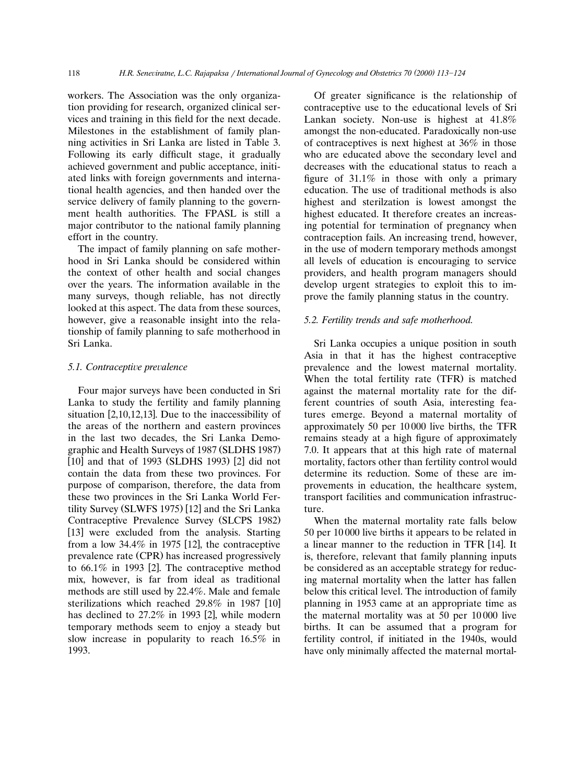workers. The Association was the only organization providing for research, organized clinical services and training in this field for the next decade. Milestones in the establishment of family planning activities in Sri Lanka are listed in Table 3. Following its early difficult stage, it gradually achieved government and public acceptance, initiated links with foreign governments and international health agencies, and then handed over the service delivery of family planning to the government health authorities. The FPASL is still a major contributor to the national family planning effort in the country.

The impact of family planning on safe motherhood in Sri Lanka should be considered within the context of other health and social changes over the years. The information available in the many surveys, though reliable, has not directly looked at this aspect. The data from these sources, however, give a reasonable insight into the relationship of family planning to safe motherhood in Sri Lanka.

# *5.1. Contracepti*¨*e pre*¨*alence*

Four major surveys have been conducted in Sri Lanka to study the fertility and family planning situation  $[2,10,12,13]$ . Due to the inaccessibility of the areas of the northern and eastern provinces in the last two decades, the Sri Lanka Demographic and Health Surveys of 1987 (SLDHS 1987) [10] and that of 1993 (SLDHS 1993) [2] did not contain the data from these two provinces. For purpose of comparison, therefore, the data from these two provinces in the Sri Lanka World Fertility Survey (SLWFS 1975) [12] and the Sri Lanka Contraceptive Prevalence Survey (SLCPS 1982) [13] were excluded from the analysis. Starting from a low  $34.4\%$  in 1975 [12], the contraceptive prevalence rate (CPR) has increased progressively to  $66.1\%$  in 1993 [2]. The contraceptive method mix, however, is far from ideal as traditional methods are still used by 22.4%. Male and female sterilizations which reached  $29.8\%$  in 1987 [10] has declined to  $27.2\%$  in 1993 [2], while modern temporary methods seem to enjoy a steady but slow increase in popularity to reach 16.5% in 1993.

Of greater significance is the relationship of contraceptive use to the educational levels of Sri Lankan society. Non-use is highest at 41.8% amongst the non-educated. Paradoxically non-use of contraceptives is next highest at 36% in those who are educated above the secondary level and decreases with the educational status to reach a figure of  $31.1\%$  in those with only a primary education. The use of traditional methods is also highest and sterilzation is lowest amongst the highest educated. It therefore creates an increasing potential for termination of pregnancy when contraception fails. An increasing trend, however, in the use of modern temporary methods amongst all levels of education is encouraging to service providers, and health program managers should develop urgent strategies to exploit this to improve the family planning status in the country.

#### *5.2. Fertility trends and safe motherhood.*

Sri Lanka occupies a unique position in south Asia in that it has the highest contraceptive prevalence and the lowest maternal mortality. When the total fertility rate (TFR) is matched against the maternal mortality rate for the different countries of south Asia, interesting features emerge. Beyond a maternal mortality of approximately 50 per 10 000 live births, the TFR remains steady at a high figure of approximately 7.0. It appears that at this high rate of maternal mortality, factors other than fertility control would determine its reduction. Some of these are improvements in education, the healthcare system, transport facilities and communication infrastructure.

When the maternal mortality rate falls below 50 per 10 000 live births it appears to be related in a linear manner to the reduction in TFR [14]. It is, therefore, relevant that family planning inputs be considered as an acceptable strategy for reducing maternal mortality when the latter has fallen below this critical level. The introduction of family planning in 1953 came at an appropriate time as the maternal mortality was at 50 per 10 000 live births. It can be assumed that a program for fertility control, if initiated in the 1940s, would have only minimally affected the maternal mortal-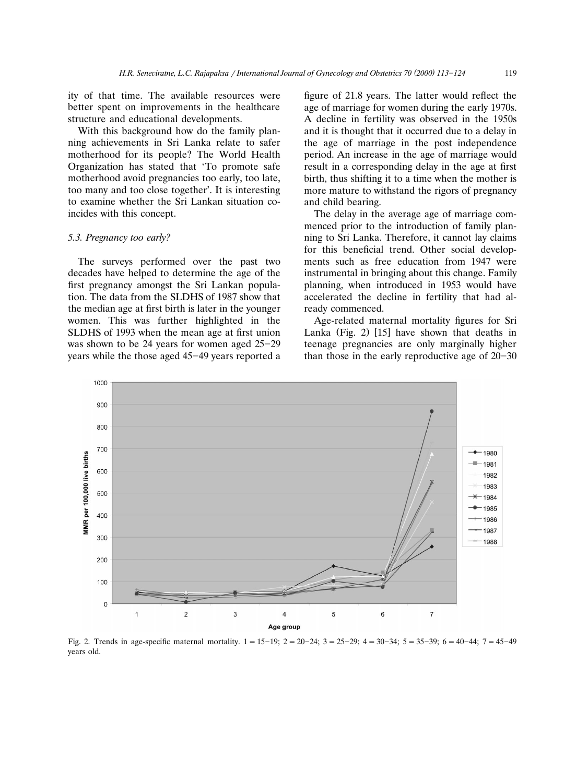ity of that time. The available resources were better spent on improvements in the healthcare structure and educational developments.

With this background how do the family planning achievements in Sri Lanka relate to safer motherhood for its people? The World Health Organization has stated that 'To promote safe motherhood avoid pregnancies too early, too late, too many and too close together'. It is interesting to examine whether the Sri Lankan situation coincides with this concept.

## *5.3. Pregnancy too early?*

The surveys performed over the past two decades have helped to determine the age of the first pregnancy amongst the Sri Lankan population. The data from the SLDHS of 1987 show that the median age at first birth is later in the younger women. This was further highlighted in the SLDHS of 1993 when the mean age at first union was shown to be 24 years for women aged  $25-29$ years while the those aged 45-49 years reported a figure of 21.8 years. The latter would reflect the age of marriage for women during the early 1970s. A decline in fertility was observed in the 1950s and it is thought that it occurred due to a delay in the age of marriage in the post independence period. An increase in the age of marriage would result in a corresponding delay in the age at first birth, thus shifting it to a time when the mother is more mature to withstand the rigors of pregnancy and child bearing.

The delay in the average age of marriage commenced prior to the introduction of family planning to Sri Lanka. Therefore, it cannot lay claims for this beneficial trend. Other social developments such as free education from 1947 were instrumental in bringing about this change. Family planning, when introduced in 1953 would have accelerated the decline in fertility that had already commenced.

Age-related maternal mortality figures for Sri Lanka (Fig. 2)  $[15]$  have shown that deaths in teenage pregnancies are only marginally higher than those in the early reproductive age of  $20-30$ 



Fig. 2. Trends in age-specific maternal mortality.  $1 = 15-19$ ;  $2 = 20-24$ ;  $3 = 25-29$ ;  $4 = 30-34$ ;  $5 = 35-39$ ;  $6 = 40-44$ ;  $7 = 45-49$ years old.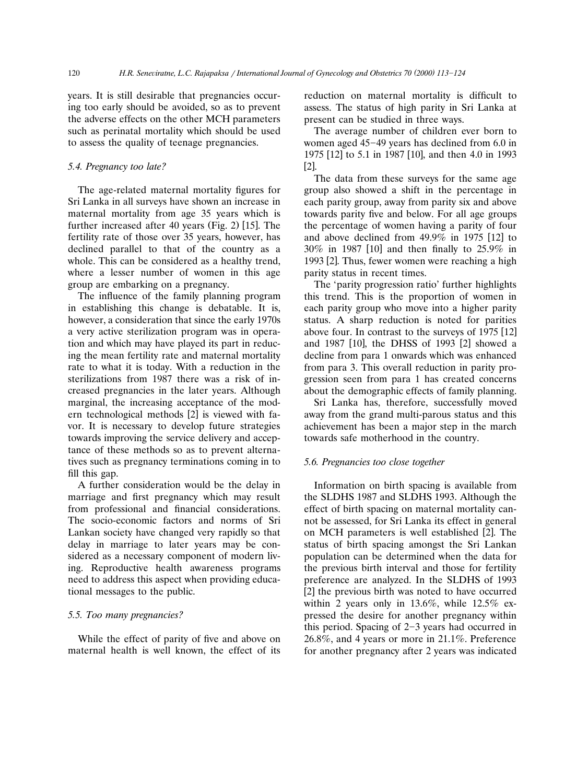years. It is still desirable that pregnancies occuring too early should be avoided, so as to prevent the adverse effects on the other MCH parameters such as perinatal mortality which should be used to assess the quality of teenage pregnancies.

# *5.4. Pregnancy too late?*

The age-related maternal mortality figures for Sri Lanka in all surveys have shown an increase in maternal mortality from age 35 years which is further increased after 40 years (Fig.  $2$ ) [15]. The fertility rate of those over 35 years, however, has declined parallel to that of the country as a whole. This can be considered as a healthy trend, where a lesser number of women in this age group are embarking on a pregnancy.

The influence of the family planning program in establishing this change is debatable. It is, however, a consideration that since the early 1970s a very active sterilization program was in operation and which may have played its part in reducing the mean fertility rate and maternal mortality rate to what it is today. With a reduction in the sterilizations from 1987 there was a risk of increased pregnancies in the later years. Although marginal, the increasing acceptance of the modern technological methods [2] is viewed with favor. It is necessary to develop future strategies towards improving the service delivery and acceptance of these methods so as to prevent alternatives such as pregnancy terminations coming in to fill this gap.

A further consideration would be the delay in marriage and first pregnancy which may result from professional and financial considerations. The socio-economic factors and norms of Sri Lankan society have changed very rapidly so that delay in marriage to later years may be considered as a necessary component of modern living. Reproductive health awareness programs need to address this aspect when providing educational messages to the public.

## *5.5. Too many pregnancies?*

While the effect of parity of five and above on maternal health is well known, the effect of its reduction on maternal mortality is difficult to assess. The status of high parity in Sri Lanka at present can be studied in three ways.

The average number of children ever born to women aged  $45-49$  years has declined from 6.0 in 1975 [12] to 5.1 in 1987 [10], and then 4.0 in 1993  $\lceil 2 \rceil$ .

The data from these surveys for the same age group also showed a shift in the percentage in each parity group, away from parity six and above towards parity five and below. For all age groups the percentage of women having a parity of four and above declined from  $49.9\%$  in 1975 [12] to  $30\%$  in 1987 [10] and then finally to 25.9% in 1993  $[2]$ . Thus, fewer women were reaching a high parity status in recent times.

The 'parity progression ratio' further highlights this trend. This is the proportion of women in each parity group who move into a higher parity status. A sharp reduction is noted for parities above four. In contrast to the surveys of  $1975$  [12] and 1987 [10], the DHSS of 1993 [2] showed a decline from para 1 onwards which was enhanced from para 3. This overall reduction in parity progression seen from para 1 has created concerns about the demographic effects of family planning.

Sri Lanka has, therefore, successfully moved away from the grand multi-parous status and this achievement has been a major step in the march towards safe motherhood in the country.

# *5.6. Pregnancies too close together*

Information on birth spacing is available from the SLDHS 1987 and SLDHS 1993. Although the effect of birth spacing on maternal mortality cannot be assessed, for Sri Lanka its effect in general on MCH parameters is well established [2]. The status of birth spacing amongst the Sri Lankan population can be determined when the data for the previous birth interval and those for fertility preference are analyzed. In the SLDHS of 1993  $[2]$  the previous birth was noted to have occurred within 2 years only in 13.6%, while 12.5% expressed the desire for another pregnancy within this period. Spacing of  $2-3$  years had occurred in 26.8%, and 4 years or more in 21.1%. Preference for another pregnancy after 2 years was indicated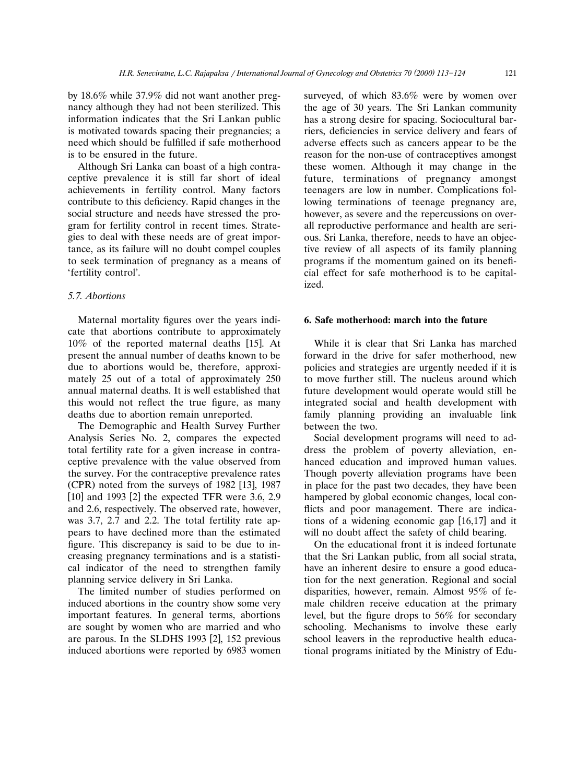by 18.6% while 37.9% did not want another pregnancy although they had not been sterilized. This information indicates that the Sri Lankan public is motivated towards spacing their pregnancies; a need which should be fulfilled if safe motherhood is to be ensured in the future.

Although Sri Lanka can boast of a high contraceptive prevalence it is still far short of ideal achievements in fertility control. Many factors contribute to this deficiency. Rapid changes in the social structure and needs have stressed the program for fertility control in recent times. Strategies to deal with these needs are of great importance, as its failure will no doubt compel couples to seek termination of pregnancy as a means of 'fertility control'.

# *5.7. Abortions*

Maternal mortality figures over the years indicate that abortions contribute to approximately  $10\%$  of the reported maternal deaths [15]. At present the annual number of deaths known to be due to abortions would be, therefore, approximately 25 out of a total of approximately 250 annual maternal deaths. It is well established that this would not reflect the true figure, as many deaths due to abortion remain unreported.

The Demographic and Health Survey Further Analysis Series No. 2, compares the expected total fertility rate for a given increase in contraceptive prevalence with the value observed from the survey. For the contraceptive prevalence rates  $(CPR)$  noted from the surveys of 1982 [13], 1987  $[10]$  and 1993  $[2]$  the expected TFR were 3.6, 2.9 and 2.6, respectively. The observed rate, however, was 3.7, 2.7 and 2.2. The total fertility rate appears to have declined more than the estimated figure. This discrepancy is said to be due to increasing pregnancy terminations and is a statistical indicator of the need to strengthen family planning service delivery in Sri Lanka.

The limited number of studies performed on induced abortions in the country show some very important features. In general terms, abortions are sought by women who are married and who are parous. In the SLDHS 1993  $[2]$ , 152 previous induced abortions were reported by 6983 women

surveyed, of which 83.6% were by women over the age of 30 years. The Sri Lankan community has a strong desire for spacing. Sociocultural barriers, deficiencies in service delivery and fears of adverse effects such as cancers appear to be the reason for the non-use of contraceptives amongst these women. Although it may change in the future, terminations of pregnancy amongst teenagers are low in number. Complications following terminations of teenage pregnancy are, however, as severe and the repercussions on overall reproductive performance and health are serious. Sri Lanka, therefore, needs to have an objective review of all aspects of its family planning programs if the momentum gained on its beneficial effect for safe motherhood is to be capitalized.

# **6. Safe motherhood: march into the future**

While it is clear that Sri Lanka has marched forward in the drive for safer motherhood, new policies and strategies are urgently needed if it is to move further still. The nucleus around which future development would operate would still be integrated social and health development with family planning providing an invaluable link between the two.

Social development programs will need to address the problem of poverty alleviation, enhanced education and improved human values. Though poverty alleviation programs have been in place for the past two decades, they have been hampered by global economic changes, local conflicts and poor management. There are indications of a widening economic gap  $[16,17]$  and it will no doubt affect the safety of child bearing.

On the educational front it is indeed fortunate that the Sri Lankan public, from all social strata, have an inherent desire to ensure a good education for the next generation. Regional and social disparities, however, remain. Almost 95% of female children receive education at the primary level, but the figure drops to 56% for secondary schooling. Mechanisms to involve these early school leavers in the reproductive health educational programs initiated by the Ministry of Edu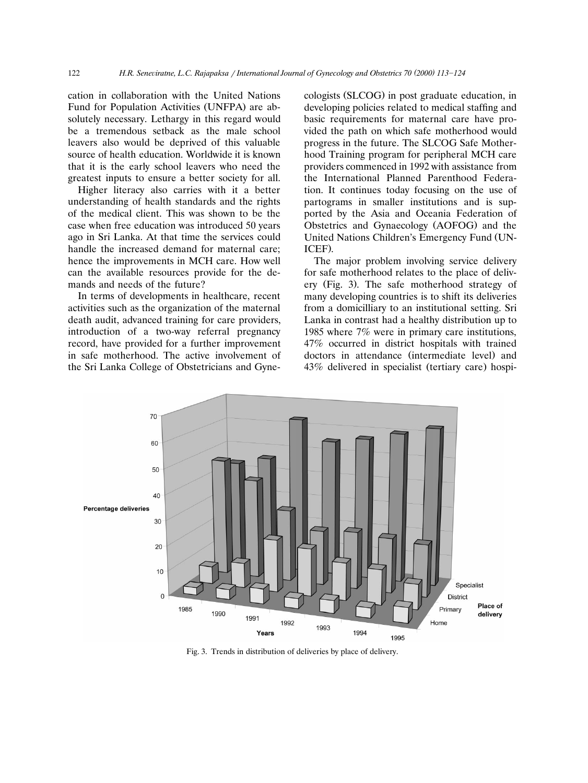cation in collaboration with the United Nations Fund for Population Activities (UNFPA) are absolutely necessary. Lethargy in this regard would be a tremendous setback as the male school leavers also would be deprived of this valuable source of health education. Worldwide it is known that it is the early school leavers who need the greatest inputs to ensure a better society for all.

Higher literacy also carries with it a better understanding of health standards and the rights of the medical client. This was shown to be the case when free education was introduced 50 years ago in Sri Lanka. At that time the services could handle the increased demand for maternal care; hence the improvements in MCH care. How well can the available resources provide for the demands and needs of the future?

In terms of developments in healthcare, recent activities such as the organization of the maternal death audit, advanced training for care providers, introduction of a two-way referral pregnancy record, have provided for a further improvement in safe motherhood. The active involvement of the Sri Lanka College of Obstetricians and Gynecologists (SLCOG) in post graduate education, in developing policies related to medical staffing and basic requirements for maternal care have provided the path on which safe motherhood would progress in the future. The SLCOG Safe Motherhood Training program for peripheral MCH care providers commenced in 1992 with assistance from the International Planned Parenthood Federation. It continues today focusing on the use of partograms in smaller institutions and is supported by the Asia and Oceania Federation of Obstetrics and Gynaecology (AOFOG) and the United Nations Children's Emergency Fund (UN-ICEF).

The major problem involving service delivery for safe motherhood relates to the place of delivery (Fig. 3). The safe motherhood strategy of many developing countries is to shift its deliveries from a domicilliary to an institutional setting. Sri Lanka in contrast had a healthy distribution up to 1985 where 7% were in primary care institutions, 47% occurred in district hospitals with trained doctors in attendance (intermediate level) and 43% delivered in specialist (tertiary care) hospi-



Fig. 3. Trends in distribution of deliveries by place of delivery.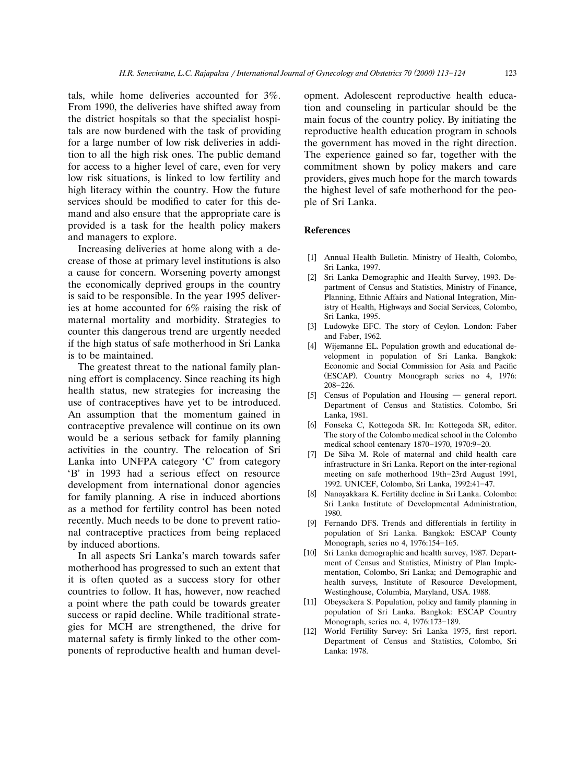tals, while home deliveries accounted for 3%. From 1990, the deliveries have shifted away from the district hospitals so that the specialist hospitals are now burdened with the task of providing for a large number of low risk deliveries in addition to all the high risk ones. The public demand for access to a higher level of care, even for very low risk situations, is linked to low fertility and high literacy within the country. How the future services should be modified to cater for this demand and also ensure that the appropriate care is provided is a task for the health policy makers and managers to explore.

Increasing deliveries at home along with a decrease of those at primary level institutions is also a cause for concern. Worsening poverty amongst the economically deprived groups in the country is said to be responsible. In the year 1995 deliveries at home accounted for 6% raising the risk of maternal mortality and morbidity. Strategies to counter this dangerous trend are urgently needed if the high status of safe motherhood in Sri Lanka is to be maintained.

The greatest threat to the national family planning effort is complacency. Since reaching its high health status, new strategies for increasing the use of contraceptives have yet to be introduced. An assumption that the momentum gained in contraceptive prevalence will continue on its own would be a serious setback for family planning activities in the country. The relocation of Sri Lanka into UNFPA category 'C' from category 'B' in 1993 had a serious effect on resource development from international donor agencies for family planning. A rise in induced abortions as a method for fertility control has been noted recently. Much needs to be done to prevent rational contraceptive practices from being replaced by induced abortions.

In all aspects Sri Lanka's march towards safer motherhood has progressed to such an extent that it is often quoted as a success story for other countries to follow. It has, however, now reached a point where the path could be towards greater success or rapid decline. While traditional strategies for MCH are strengthened, the drive for maternal safety is firmly linked to the other components of reproductive health and human development. Adolescent reproductive health education and counseling in particular should be the main focus of the country policy. By initiating the reproductive health education program in schools the government has moved in the right direction. The experience gained so far, together with the commitment shown by policy makers and care providers, gives much hope for the march towards the highest level of safe motherhood for the people of Sri Lanka.

# **References**

- [1] Annual Health Bulletin. Ministry of Health, Colombo, Sri Lanka, 1997.
- [2] Sri Lanka Demographic and Health Survey, 1993. Department of Census and Statistics, Ministry of Finance, Planning, Ethnic Affairs and National Integration, Ministry of Health, Highways and Social Services, Colombo, Sri Lanka, 1995.
- [3] Ludowyke EFC. The story of Ceylon. London: Faber and Faber, 1962.
- [4] Wijemanne EL. Population growth and educational development in population of Sri Lanka. Bangkok: Economic and Social Commission for Asia and Pacific (ESCAP). Country Monograph series no 4, 1976: 208-226.
- [5] Census of Population and Housing  $-$  general report. Department of Census and Statistics. Colombo, Sri Lanka, 1981.
- [6] Fonseka C, Kottegoda SR. In: Kottegoda SR, editor. The story of the Colombo medical school in the Colombo medical school centenary 1870-1970, 1970:9-20.
- [7] De Silva M. Role of maternal and child health care infrastructure in Sri Lanka. Report on the inter-regional meeting on safe motherhood 19th-23rd August 1991, 1992. UNICEF, Colombo, Sri Lanka, 1992:41-47.
- [8] Nanayakkara K. Fertility decline in Sri Lanka. Colombo: Sri Lanka Institute of Developmental Administration, 1980.
- [9] Fernando DFS. Trends and differentials in fertility in population of Sri Lanka. Bangkok: ESCAP County Monograph, series no 4, 1976:154-165.
- [10] Sri Lanka demographic and health survey, 1987. Department of Census and Statistics, Ministry of Plan Implementation, Colombo, Sri Lanka; and Demographic and health surveys, Institute of Resource Development, Westinghouse, Columbia, Maryland, USA. 1988.
- [11] Obeysekera S. Population, policy and family planning in population of Sri Lanka. Bangkok: ESCAP Country Monograph, series no. 4, 1976:173-189.
- [12] World Fertility Survey: Sri Lanka 1975, first report. Department of Census and Statistics, Colombo, Sri Lanka: 1978.